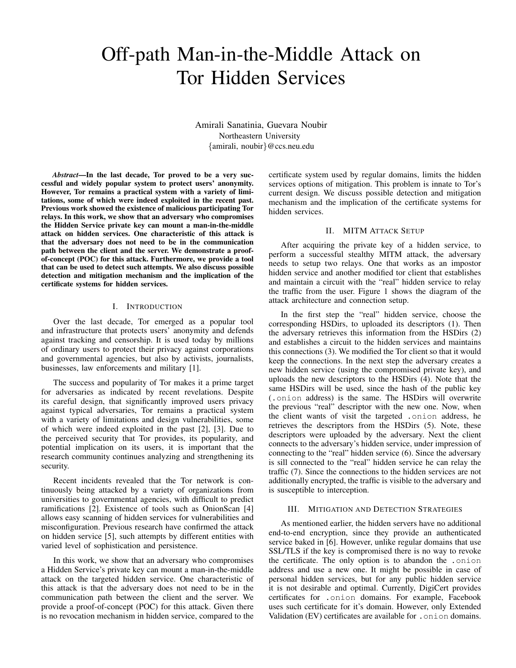# Off-path Man-in-the-Middle Attack on Tor Hidden Services

Amirali Sanatinia, Guevara Noubir Northeastern University {amirali, noubir}@ccs.neu.edu

*Abstract*—In the last decade, Tor proved to be a very successful and widely popular system to protect users' anonymity. However, Tor remains a practical system with a variety of limitations, some of which were indeed exploited in the recent past. Previous work showed the existence of malicious participating Tor relays. In this work, we show that an adversary who compromises the Hidden Service private key can mount a man-in-the-middle attack on hidden services. One characteristic of this attack is that the adversary does not need to be in the communication path between the client and the server. We demonstrate a proofof-concept (POC) for this attack. Furthermore, we provide a tool that can be used to detect such attempts. We also discuss possible detection and mitigation mechanism and the implication of the certificate systems for hidden services.

# I. INTRODUCTION

Over the last decade, Tor emerged as a popular tool and infrastructure that protects users' anonymity and defends against tracking and censorship. It is used today by millions of ordinary users to protect their privacy against corporations and governmental agencies, but also by activists, journalists, businesses, law enforcements and military [1].

The success and popularity of Tor makes it a prime target for adversaries as indicated by recent revelations. Despite its careful design, that significantly improved users privacy against typical adversaries, Tor remains a practical system with a variety of limitations and design vulnerabilities, some of which were indeed exploited in the past [2], [3]. Due to the perceived security that Tor provides, its popularity, and potential implication on its users, it is important that the research community continues analyzing and strengthening its security.

Recent incidents revealed that the Tor network is continuously being attacked by a variety of organizations from universities to governmental agencies, with difficult to predict ramifications [2]. Existence of tools such as OnionScan [4] allows easy scanning of hidden services for vulnerabilities and misconfiguration. Previous research have confirmed the attack on hidden service [5], such attempts by different entities with varied level of sophistication and persistence.

In this work, we show that an adversary who compromises a Hidden Service's private key can mount a man-in-the-middle attack on the targeted hidden service. One characteristic of this attack is that the adversary does not need to be in the communication path between the client and the server. We provide a proof-of-concept (POC) for this attack. Given there is no revocation mechanism in hidden service, compared to the certificate system used by regular domains, limits the hidden services options of mitigation. This problem is innate to Tor's current design. We discuss possible detection and mitigation mechanism and the implication of the certificate systems for hidden services.

# II. MITM ATTACK SETUP

After acquiring the private key of a hidden service, to perform a successful stealthy MITM attack, the adversary needs to setup two relays. One that works as an impostor hidden service and another modified tor client that establishes and maintain a circuit with the "real" hidden service to relay the traffic from the user. Figure 1 shows the diagram of the attack architecture and connection setup.

In the first step the "real" hidden service, choose the corresponding HSDirs, to uploaded its descriptors (1). Then the adversary retrieves this information from the HSDirs (2) and establishes a circuit to the hidden services and maintains this connections (3). We modified the Tor client so that it would keep the connections. In the next step the adversary creates a new hidden service (using the compromised private key), and uploads the new descriptors to the HSDirs (4). Note that the same HSDirs will be used, since the hash of the public key (.onion address) is the same. The HSDirs will overwrite the previous "real" descriptor with the new one. Now, when the client wants of visit the targeted .onion address, he retrieves the descriptors from the HSDirs (5). Note, these descriptors were uploaded by the adversary. Next the client connects to the adversary's hidden service, under impression of connecting to the "real" hidden service (6). Since the adversary is sill connected to the "real" hidden service he can relay the traffic (7). Since the connections to the hidden services are not additionally encrypted, the traffic is visible to the adversary and is susceptible to interception.

## III. MITIGATION AND DETECTION STRATEGIES

As mentioned earlier, the hidden servers have no additional end-to-end encryption, since they provide an authenticated service baked in [6]. However, unlike regular domains that use SSL/TLS if the key is compromised there is no way to revoke the certificate. The only option is to abandon the .onion address and use a new one. It might be possible in case of personal hidden services, but for any public hidden service it is not desirable and optimal. Currently, DigiCert provides certificates for .onion domains. For example, Facebook uses such certificate for it's domain. However, only Extended Validation (EV) certificates are available for . onion domains.